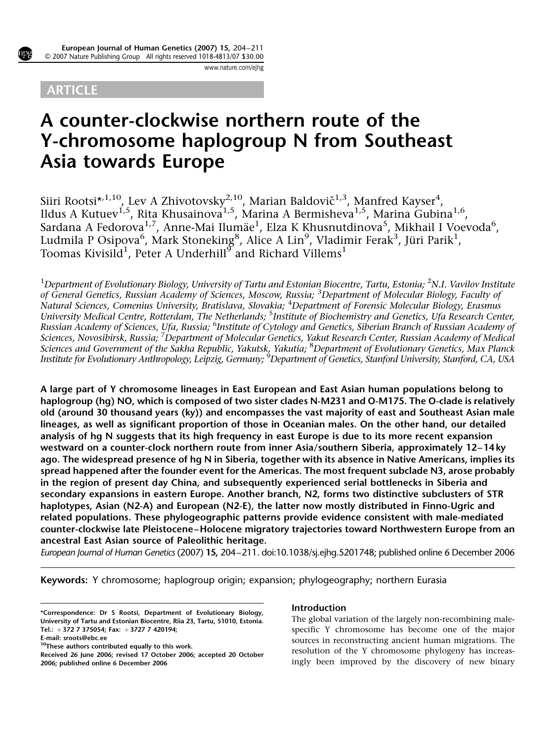

www.nature.com/ejhg

# **ARTICLE**

# A counter-clockwise northern route of the Y-chromosome haplogroup N from Southeast Asia towards Europe

Siiri Rootsi $^{\star,1,10}$ , Lev A Zhivotovsky $^{2,10}$ , Marian Baldovič $^{1,3}$ , Manfred Kayser $^4$ , Ildus A Kutuev<sup>1,5</sup>, Rita Khusainova<sup>1,5</sup>, Marina A Bermisheva<sup>1,5</sup>, Marina Gubina<sup>1,6</sup>, Sardana A Fedorova $^{1,7}$ , Anne-Mai Ilumäe $^1$ , Elza K Khusnutdinova $^5$ , Mikhail I Voevoda $^6$ , Ludmila P Osipova $^6$ , Mark Stoneking $^8$ , Alice A Lin $^9$ , Vladimir Ferak $^3$ , Jüri Parik $^1$ , Toomas Kivisil $d^1$ , Peter A Underhill $^\sigma$  and Richard Villems<sup>1</sup>

 $^1$ Department of Evolutionary Biology, University of Tartu and Estonian Biocentre, Tartu, Estonia;  $^2$ N.I. Vavilov Institute of General Genetics, Russian Academy of Sciences, Moscow, Russia; <sup>3</sup>Department of Molecular Biology, Faculty of Natural Sciences, Comenius University, Bratislava, Slovakia; <sup>4</sup>Department of Forensic Molecular Biology, Erasmus University Medical Centre, Rotterdam, The Netherlands; <sup>5</sup>Institute of Biochemistry and Genetics, Ufa Research Center, Russian Academy of Sciences, Ufa, Russia; <sup>6</sup>Institute of Cytology and Genetics, Siberian Branch of Russian Academy of Sciences, Novosibirsk, Russia; <sup>7</sup>Department of Molecular Genetics, Yakut Research Center, Russian Academy of Medical Sciences and Government of the Sakha Republic, Yakutsk, Yakutia; <sup>8</sup>Department of Evolutionary Genetics, Max Planck Institute for Evolutionary Anthropology, Leipzig, Germany; <sup>9</sup>Department of Genetics, Stanford University, Stanford, CA, USA

A large part of Y chromosome lineages in East European and East Asian human populations belong to haplogroup (hg) NO, which is composed of two sister clades N-M231 and O-M175. The O-clade is relatively old (around 30 thousand years (ky)) and encompasses the vast majority of east and Southeast Asian male lineages, as well as significant proportion of those in Oceanian males. On the other hand, our detailed analysis of hg N suggests that its high frequency in east Europe is due to its more recent expansion westward on a counter-clock northern route from inner Asia/southern Siberia, approximately 12–14 ky ago. The widespread presence of hg N in Siberia, together with its absence in Native Americans, implies its spread happened after the founder event for the Americas. The most frequent subclade N3, arose probably in the region of present day China, and subsequently experienced serial bottlenecks in Siberia and secondary expansions in eastern Europe. Another branch, N2, forms two distinctive subclusters of STR haplotypes, Asian (N2-A) and European (N2-E), the latter now mostly distributed in Finno-Ugric and related populations. These phylogeographic patterns provide evidence consistent with male-mediated counter-clockwise late Pleistocene–Holocene migratory trajectories toward Northwestern Europe from an ancestral East Asian source of Paleolithic heritage.

European Journal of Human Genetics (2007) 15, 204–211. doi:10.1038/sj.ejhg.5201748; published online 6 December 2006

Keywords: Y chromosome; haplogroup origin; expansion; phylogeography; northern Eurasia

# Introduction

The global variation of the largely non-recombining malespecific Y chromosome has become one of the major sources in reconstructing ancient human migrations. The resolution of the Y chromosome phylogeny has increas-Received 26 June 2006; revised 17 October 2006; accepted 20 October<br>2006; published online 6 December 2006<br>2006; published online 6 December 2006

<sup>\*</sup>Correspondence: Dr S Rootsi, Department of Evolutionary Biology, University of Tartu and Estonian Biocentre, Riia 23, Tartu, 51010, Estonia. Tel.: +372 7 375054; Fax: +3727 7 420194;

E-mail: sroots@ebc.ee

<sup>&</sup>lt;sup>10</sup>These authors contributed equally to this work.

<sup>2006;</sup> published online 6 December 2006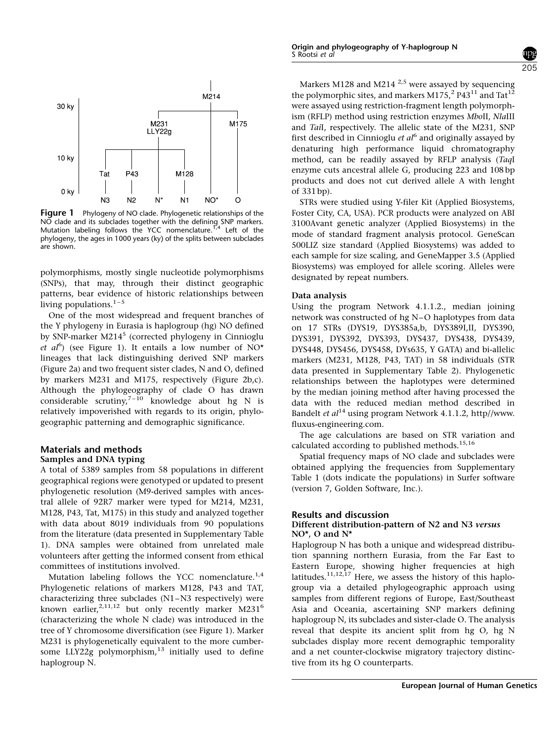

**Figure 1** Phylogeny of NO clade. Phylogenetic relationships of the NO clade and its subclades together with the defining SNP markers.<br>Mutation labeling follows the YCC nomenclature.<sup>1,4</sup> Left of the phylogeny, the ages in 1000 years (ky) of the splits between subclades are shown.

polymorphisms, mostly single nucleotide polymorphisms (SNPs), that may, through their distinct geographic patterns, bear evidence of historic relationships between living populations. $1-5$ 

One of the most widespread and frequent branches of the Y phylogeny in Eurasia is haplogroup (hg) NO defined by SNP-marker M214<sup>5</sup> (corrected phylogeny in Cinnioglu et  $al^6$ ) (see Figure 1). It entails a low number of NO\* lineages that lack distinguishing derived SNP markers (Figure 2a) and two frequent sister clades, N and O, defined by markers M231 and M175, respectively (Figure 2b,c). Although the phylogeography of clade O has drawn considerable scrutiny,<sup>7-10</sup> knowledge about hg N is relatively impoverished with regards to its origin, phylogeographic patterning and demographic significance.

# Materials and methods

#### Samples and DNA typing

A total of 5389 samples from 58 populations in different geographical regions were genotyped or updated to present phylogenetic resolution (M9-derived samples with ancestral allele of 92R7 marker were typed for M214, M231, M128, P43, Tat, M175) in this study and analyzed together with data about 8019 individuals from 90 populations from the literature (data presented in Supplementary Table 1). DNA samples were obtained from unrelated male volunteers after getting the informed consent from ethical committees of institutions involved.

Mutation labeling follows the YCC nomenclature.<sup>1,4</sup> Phylogenetic relations of markers M128, P43 and TAT, characterizing three subclades (N1–N3 respectively) were known earlier,<sup>2,11,12</sup> but only recently marker M231<sup>6</sup> (characterizing the whole N clade) was introduced in the tree of Y chromosome diversification (see Figure 1). Marker M231 is phylogenetically equivalent to the more cumbersome LLY22g polymorphism, $13$  initially used to define haplogroup N.

Markers M128 and M214  $^{2,5}$  were assayed by sequencing the polymorphic sites, and markers M175,<sup>2</sup> P43<sup>11</sup> and Tat<sup>12</sup> were assayed using restriction-fragment length polymorphism (RFLP) method using restriction enzymes MboII, NlaIII and TaiI, respectively. The allelic state of the M231, SNP first described in Cinnioglu *et al*<sup>6</sup> and originally assayed by denaturing high performance liquid chromatography method, can be readily assayed by RFLP analysis (TaqI enzyme cuts ancestral allele G, producing 223 and 108 bp products and does not cut derived allele A with lenght of 331 bp).

STRs were studied using Y-filer Kit (Applied Biosystems, Foster City, CA, USA). PCR products were analyzed on ABI 3100Avant genetic analyzer (Applied Biosystems) in the mode of standard fragment analysis protocol. GeneScan 500LIZ size standard (Applied Biosystems) was added to each sample for size scaling, and GeneMapper 3.5 (Applied Biosystems) was employed for allele scoring. Alleles were designated by repeat numbers.

#### Data analysis

Using the program Network 4.1.1.2., median joining network was constructed of hg N–O haplotypes from data on 17 STRs (DYS19, DYS385a,b, DYS389I,II, DYS390, DYS391, DYS392, DYS393, DYS437, DYS438, DYS439, DYS448, DYS456, DYS458, DYs635, Y GATA) and bi-allelic markers (M231, M128, P43, TAT) in 58 individuals (STR data presented in Supplementary Table 2). Phylogenetic relationships between the haplotypes were determined by the median joining method after having processed the data with the reduced median method described in Bandelt et  $al^{14}$  using program Network 4.1.1.2, http//www. fluxus-engineering.com.

The age calculations are based on STR variation and calculated according to published methods.<sup>15,16</sup>

Spatial frequency maps of NO clade and subclades were obtained applying the frequencies from Supplementary Table 1 (dots indicate the populations) in Surfer software (version 7, Golden Software, Inc.).

## Results and discussion

#### Different distribution-pattern of N2 and N3 versus NO\*, O and N\*

Haplogroup N has both a unique and widespread distribution spanning northern Eurasia, from the Far East to Eastern Europe, showing higher frequencies at high latitudes. $11,12,17$  Here, we assess the history of this haplogroup via a detailed phylogeographic approach using samples from different regions of Europe, East/Southeast Asia and Oceania, ascertaining SNP markers defining haplogroup N, its subclades and sister-clade O. The analysis reveal that despite its ancient split from hg O, hg N subclades display more recent demographic temporality and a net counter-clockwise migratory trajectory distinctive from its hg O counterparts.

 $205$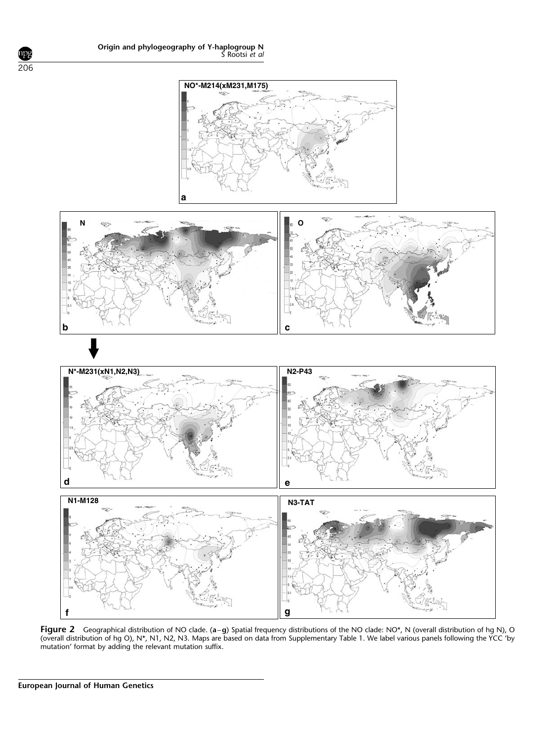

Figure 2 Geographical distribution of NO clade. (a–g) Spatial frequency distributions of the NO clade: NO\*, N (overall distribution of hg N), O (overall distribution of hg O), N\*, N1, N2, N3. Maps are based on data from Supplementary Table 1. We label various panels following the YCC 'by mutation' format by adding the relevant mutation suffix.

ıрş 206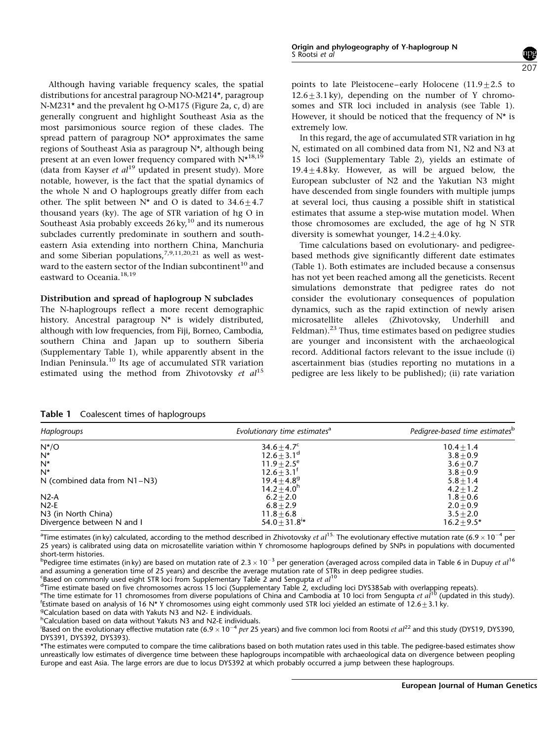Although having variable frequency scales, the spatial distributions for ancestral paragroup NO-M214\*, paragroup N-M231\* and the prevalent hg O-M175 (Figure 2a, c, d) are generally congruent and highlight Southeast Asia as the most parsimonious source region of these clades. The spread pattern of paragroup NO\* approximates the same regions of Southeast Asia as paragroup N\*, although being present at an even lower frequency compared with  $N^{\star 18,19}$ (data from Kayser *et al*<sup>19</sup> updated in present study). More notable, however, is the fact that the spatial dynamics of the whole N and O haplogroups greatly differ from each other. The split between  $N^*$  and O is dated to  $34.6 \pm 4.7$ thousand years (ky). The age of STR variation of hg O in Southeast Asia probably exceeds  $26 \text{ ky}$ ,<sup>10</sup> and its numerous subclades currently predominate in southern and southeastern Asia extending into northern China, Manchuria and some Siberian populations,<sup>7,9,11,20,21</sup> as well as westward to the eastern sector of the Indian subcontinent<sup>10</sup> and eastward to Oceania.<sup>18,19</sup>

## Distribution and spread of haplogroup N subclades

The N-haplogroups reflect a more recent demographic history. Ancestral paragroup N\* is widely distributed, although with low frequencies, from Fiji, Borneo, Cambodia, southern China and Japan up to southern Siberia (Supplementary Table 1), while apparently absent in the Indian Peninsula.<sup>10</sup> Its age of accumulated STR variation estimated using the method from Zhivotovsky et  $al^{15}$  points to late Pleistocene–early Holocene  $(11.9 \pm 2.5$  to  $12.6\pm3.1$  ky), depending on the number of Y chromosomes and STR loci included in analysis (see Table 1). However, it should be noticed that the frequency of  $N^*$  is extremely low.

207

In this regard, the age of accumulated STR variation in hg N, estimated on all combined data from N1, N2 and N3 at 15 loci (Supplementary Table 2), yields an estimate of  $19.4+4.8$  ky. However, as will be argued below, the European subcluster of N2 and the Yakutian N3 might have descended from single founders with multiple jumps at several loci, thus causing a possible shift in statistical estimates that assume a step-wise mutation model. When those chromosomes are excluded, the age of hg N STR diversity is somewhat younger,  $14.2 \pm 4.0$  ky.

Time calculations based on evolutionary- and pedigreebased methods give significantly different date estimates (Table 1). Both estimates are included because a consensus has not yet been reached among all the geneticists. Recent simulations demonstrate that pedigree rates do not consider the evolutionary consequences of population dynamics, such as the rapid extinction of newly arisen microsatellite alleles (Zhivotovsky, Underhill and Feldman).<sup>23</sup> Thus, time estimates based on pedigree studies are younger and inconsistent with the archaeological record. Additional factors relevant to the issue include (i) ascertainment bias (studies reporting no mutations in a pedigree are less likely to be published); (ii) rate variation

Table 1 Coalescent times of haplogroups

| Haplogroups                       | Evolutionary time estimates <sup>a</sup> | Pedigree-based time estimates <sup>b</sup> |  |  |
|-----------------------------------|------------------------------------------|--------------------------------------------|--|--|
| $N^*/O$                           | $34.6 + 4.7^c$                           | $10.4 + 1.4$                               |  |  |
| $N^*$                             | $12.6 \pm 3.1^{\circ}$                   | $3.8 + 0.9$                                |  |  |
| $N^*$                             | $11.9 \pm 2.5^e$                         | $3.6 + 0.7$                                |  |  |
| $N^*$                             | $12.6 + 3.1^{\dagger}$                   | $3.8 + 0.9$                                |  |  |
| N (combined data from $N1 - N3$ ) | $19.4 + 4.8$ <sup>g</sup>                | $5.8 \pm 1.4$                              |  |  |
|                                   | $14.2 + 4.0h$                            | $4.2 + 1.2$                                |  |  |
| $N2-A$                            | $6.2 + 2.0$                              | $1.8 + 0.6$                                |  |  |
| $N2-E$                            | $6.8 + 2.9$                              | $2.0 + 0.9$                                |  |  |
| N3 (in North China)               | $11.8 + 6.8$                             | $3.5 + 2.0$                                |  |  |
| Divergence between N and I        | $54.0 \pm 31.8$ <sup>i*</sup>            | $16.2 + 9.5*$                              |  |  |

<sup>a</sup>Time estimates (in ky) calculated, according to the method described in Zhivotovsky *et al* <sup>15.</sup> The evolutionary effective mutation rate (6.9 × 10<sup>–4</sup> per 25 years) is calibrated using data on microsatellite variation within Y chromosome haplogroups defined by SNPs in populations with documented short-term histories.

<sup>b</sup>Pedigree time estimates (inky) are based on mutation rate of 2.3  $\times$  10<sup>-3</sup> per generation (averaged across compiled data in Table 6 in Dupuy *et al* <sup>16</sup> and assuming a generation time of 25 years) and describe the average mutation rate of STRs in deep pedigree studies.

 $\epsilon$ Based on commonly used eight STR loci from Supplementary Table 2 and Sengupta et  $al^{10}$ 

d Time estimate based on five chromosomes across 15 loci (Supplementary Table 2, excluding loci DYS385ab with overlapping repeats).

<sup>e</sup> The time estimate for 11 chromosomes from diverse populations of China and Cambodia at 10 loci from Sengupta *et al*<sup>10</sup> (updated in this study). Estimate based on analysis of 16 N\* Y chromosomes using eight commonly used STR loci yielded an estimate of 12.6 $\pm$ 3.1 ky.

Calculation based on data with Yakuts N3 and N2- E individuals.

<sup>h</sup>Calculation based on data without Yakuts N3 and N2-E individuals.

<sup>i</sup>Based on the evolutionary effective mutation rate (6.9  $\times$  10<sup>-4</sup> per 25 years) and five common loci from Rootsi et al<sup>22</sup> and this study (DYS19, DYS390, DYS391, DYS392, DYS393).

\*The estimates were computed to compare the time calibrations based on both mutation rates used in this table. The pedigree-based estimates show unreastically low estimates of divergence time between these haplogroups incompatible with archaeological data on divergence between peopling Europe and east Asia. The large errors are due to locus DYS392 at which probably occurred a jump between these haplogroups.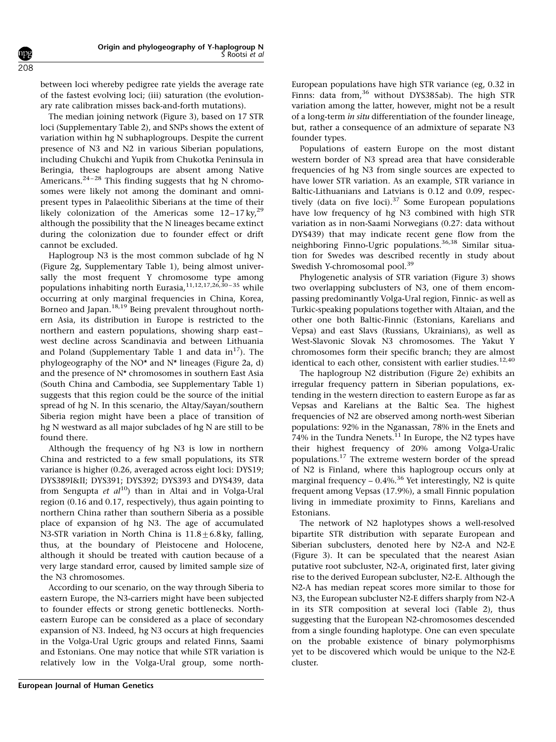between loci whereby pedigree rate yields the average rate of the fastest evolving loci; (iii) saturation (the evolutionary rate calibration misses back-and-forth mutations).

The median joining network (Figure 3), based on 17 STR loci (Supplementary Table 2), and SNPs shows the extent of variation within hg N subhaplogroups. Despite the current presence of N3 and N2 in various Siberian populations, including Chukchi and Yupik from Chukotka Peninsula in Beringia, these haplogroups are absent among Native Americans.<sup>24-28</sup> This finding suggests that hg N chromosomes were likely not among the dominant and omnipresent types in Palaeolithic Siberians at the time of their likely colonization of the Americas some  $12-17$  ky,<sup>29</sup> although the possibility that the N lineages became extinct during the colonization due to founder effect or drift cannot be excluded.

Haplogroup N3 is the most common subclade of hg N (Figure 2g, Supplementary Table 1), being almost universally the most frequent Y chromosome type among populations inhabiting north Eurasia,  $11,12,17,26,30-35$  while occurring at only marginal frequencies in China, Korea, Borneo and Japan.<sup>18,19</sup> Being prevalent throughout northern Asia, its distribution in Europe is restricted to the northern and eastern populations, showing sharp east– west decline across Scandinavia and between Lithuania and Poland (Supplementary Table 1 and data in $^{17}$ ). The phylogeography of the NO\* and N\* lineages (Figure 2a, d) and the presence of N\* chromosomes in southern East Asia (South China and Cambodia, see Supplementary Table 1) suggests that this region could be the source of the initial spread of hg N. In this scenario, the Altay/Sayan/southern Siberia region might have been a place of transition of hg N westward as all major subclades of hg N are still to be found there.

Although the frequency of hg N3 is low in northern China and restricted to a few small populations, its STR variance is higher (0.26, averaged across eight loci: DYS19; DYS389Iⅈ DYS391; DYS392; DYS393 and DYS439, data from Sengupta et  $al^{10}$ ) than in Altai and in Volga-Ural region (0.16 and 0.17, respectively), thus again pointing to northern China rather than southern Siberia as a possible place of expansion of hg N3. The age of accumulated N3-STR variation in North China is  $11.8+6.8$  ky, falling, thus, at the boundary of Pleistocene and Holocene, although it should be treated with caution because of a very large standard error, caused by limited sample size of the N3 chromosomes.

According to our scenario, on the way through Siberia to eastern Europe, the N3-carriers might have been subjected to founder effects or strong genetic bottlenecks. Northeastern Europe can be considered as a place of secondary expansion of N3. Indeed, hg N3 occurs at high frequencies in the Volga-Ural Ugric groups and related Finns, Saami and Estonians. One may notice that while STR variation is relatively low in the Volga-Ural group, some northEuropean populations have high STR variance (eg, 0.32 in Finns: data from,<sup>36</sup> without DYS385ab). The high STR variation among the latter, however, might not be a result of a long-term in situ differentiation of the founder lineage, but, rather a consequence of an admixture of separate N3 founder types.

Populations of eastern Europe on the most distant western border of N3 spread area that have considerable frequencies of hg N3 from single sources are expected to have lower STR variation. As an example, STR variance in Baltic-Lithuanians and Latvians is 0.12 and 0.09, respectively (data on five loci). $37$  Some European populations have low frequency of hg N3 combined with high STR variation as in non-Saami Norwegians (0.27: data without DYS439) that may indicate recent gene flow from the neighboring Finno-Ugric populations.<sup>36,38</sup> Similar situation for Swedes was described recently in study about Swedish Y-chromosomal pool.<sup>39</sup>

Phylogenetic analysis of STR variation (Figure 3) shows two overlapping subclusters of N3, one of them encompassing predominantly Volga-Ural region, Finnic- as well as Turkic-speaking populations together with Altaian, and the other one both Baltic-Finnic (Estonians, Karelians and Vepsa) and east Slavs (Russians, Ukrainians), as well as West-Slavonic Slovak N3 chromosomes. The Yakut Y chromosomes form their specific branch; they are almost identical to each other, consistent with earlier studies.<sup>12,40</sup>

The haplogroup N2 distribution (Figure 2e) exhibits an irregular frequency pattern in Siberian populations, extending in the western direction to eastern Europe as far as Vepsas and Karelians at the Baltic Sea. The highest frequencies of N2 are observed among north-west Siberian populations: 92% in the Nganassan, 78% in the Enets and 74% in the Tundra Nenets.<sup>11</sup> In Europe, the N2 types have their highest frequency of 20% among Volga-Uralic populations.<sup>17</sup> The extreme western border of the spread of N2 is Finland, where this haplogroup occurs only at marginal frequency  $-0.4\%$ .<sup>36</sup> Yet interestingly, N2 is quite frequent among Vepsas (17.9%), a small Finnic population living in immediate proximity to Finns, Karelians and Estonians.

The network of N2 haplotypes shows a well-resolved bipartite STR distribution with separate European and Siberian subclusters, denoted here by N2-A and N2-E (Figure 3). It can be speculated that the nearest Asian putative root subcluster, N2-A, originated first, later giving rise to the derived European subcluster, N2-E. Although the N2-A has median repeat scores more similar to those for N3, the European subcluster N2-E differs sharply from N2-A in its STR composition at several loci (Table 2), thus suggesting that the European N2-chromosomes descended from a single founding haplotype. One can even speculate on the probable existence of binary polymorphisms yet to be discovered which would be unique to the N2-E cluster.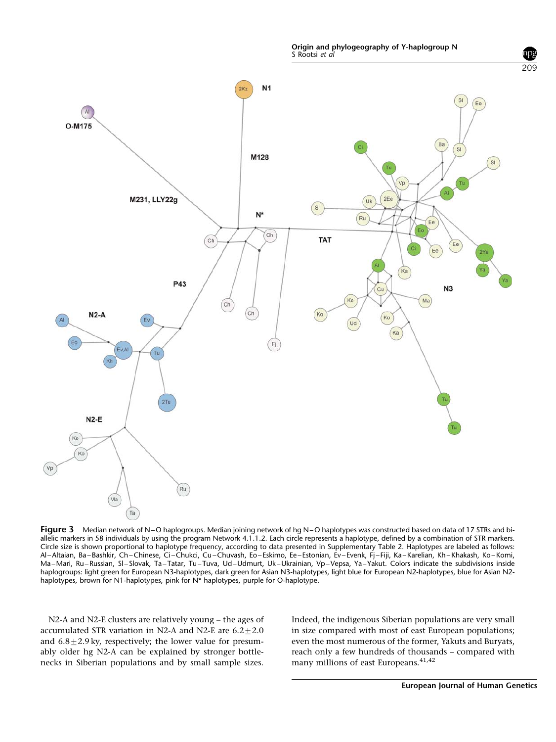Origin and phylogeography of Y-haplogroup N S Rootsi et al



Figure 3 Median network of N-O haplogroups. Median joining network of hg N-O haplotypes was constructed based on data of 17 STRs and biallelic markers in 58 individuals by using the program Network 4.1.1.2. Each circle represents a haplotype, defined by a combination of STR markers. Circle size is shown proportional to haplotype frequency, according to data presented in Supplementary Table 2. Haplotypes are labeled as follows: Al–Altaian, Ba–Bashkir, Ch–Chinese, Ci–Chukci, Cu–Chuvash, Eo–Eskimo, Ee–Estonian, Ev–Evenk, Fj–Fiji, Ka–Karelian, Kh–Khakash, Ko–Komi, Ma–Mari, Ru–Russian, Sl–Slovak, Ta–Tatar, Tu–Tuva, Ud–Udmurt, Uk–Ukrainian, Vp–Vepsa, Ya–Yakut. Colors indicate the subdivisions inside haplogroups: light green for European N3-haplotypes, dark green for Asian N3-haplotypes, light blue for European N2-haplotypes, blue for Asian N2 haplotypes, brown for N1-haplotypes, pink for N\* haplotypes, purple for O-haplotype.

N2-A and N2-E clusters are relatively young – the ages of accumulated STR variation in N2-A and N2-E are  $6.2 \pm 2.0$ and  $6.8\pm2.9$  ky, respectively; the lower value for presumably older hg N2-A can be explained by stronger bottlenecks in Siberian populations and by small sample sizes.

Indeed, the indigenous Siberian populations are very small in size compared with most of east European populations; even the most numerous of the former, Yakuts and Buryats, reach only a few hundreds of thousands – compared with many millions of east Europeans.<sup>41,42</sup>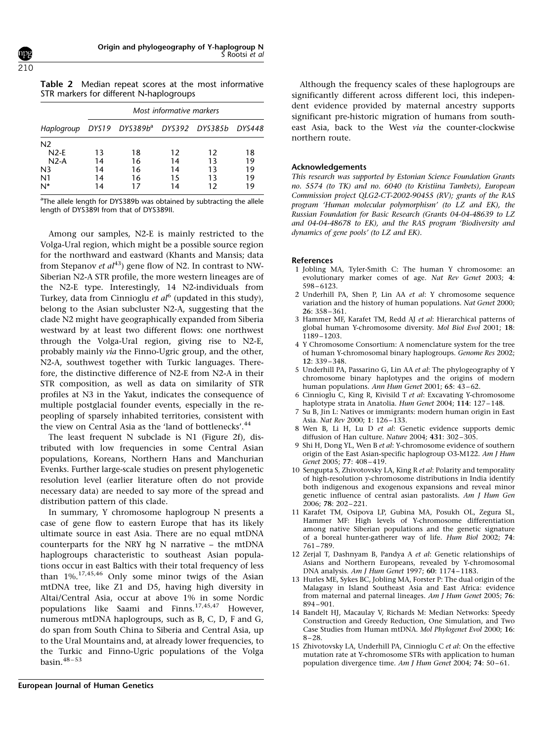| Table 2 Median repeat scores at the most informative |  |  |  |  |
|------------------------------------------------------|--|--|--|--|
| STR markers for different N-haplogroups              |  |  |  |  |

|                                                             | Most informative markers |    |    |    |    |  |  |
|-------------------------------------------------------------|--------------------------|----|----|----|----|--|--|
| Haplogroup DYS19 DYS389b <sup>a</sup> DYS392 DYS385b DYS448 |                          |    |    |    |    |  |  |
| N <sub>2</sub>                                              |                          |    |    |    |    |  |  |
| $N2-E$                                                      | 13                       | 18 | 12 | 12 | 18 |  |  |
| $N2-A$                                                      | 14                       | 16 | 14 | 13 | 19 |  |  |
| N <sub>3</sub>                                              | 14                       | 16 | 14 | 13 | 19 |  |  |
| N <sub>1</sub>                                              | 14                       | 16 | 15 | 13 | 19 |  |  |
| N*                                                          | 14                       | 17 | 14 | 12 | 19 |  |  |

<sup>a</sup>The allele length for DYS389b was obtained by subtracting the allele length of DYS389I from that of DYS389II.

Among our samples, N2-E is mainly restricted to the Volga-Ural region, which might be a possible source region for the northward and eastward (Khants and Mansis; data from Stepanov et  $al^{43}$ ) gene flow of N2. In contrast to NW-Siberian N2-A STR profile, the more western lineages are of the N2-E type. Interestingly, 14 N2-individuals from Turkey, data from Cinnioglu et  $al^6$  (updated in this study), belong to the Asian subcluster N2-A, suggesting that the clade N2 might have geographically expanded from Siberia westward by at least two different flows: one northwest through the Volga-Ural region, giving rise to N2-E, probably mainly via the Finno-Ugric group, and the other, N2-A, southwest together with Turkic languages. Therefore, the distinctive difference of N2-E from N2-A in their STR composition, as well as data on similarity of STR profiles at N3 in the Yakut, indicates the consequence of multiple postglacial founder events, especially in the repeopling of sparsely inhabited territories, consistent with the view on Central Asia as the 'land of bottlenecks'.<sup>44</sup>

The least frequent N subclade is N1 (Figure 2f), distributed with low frequencies in some Central Asian populations, Koreans, Northern Hans and Manchurian Evenks. Further large-scale studies on present phylogenetic resolution level (earlier literature often do not provide necessary data) are needed to say more of the spread and distribution pattern of this clade.

In summary, Y chromosome haplogroup N presents a case of gene flow to eastern Europe that has its likely ultimate source in east Asia. There are no equal mtDNA counterparts for the NRY hg N narrative – the mtDNA haplogroups characteristic to southeast Asian populations occur in east Baltics with their total frequency of less than 1%.17,45,46 Only some minor twigs of the Asian mtDNA tree, like Z1 and D5, having high diversity in Altai/Central Asia, occur at above 1% in some Nordic populations like Saami and Finns.<sup>17,45,47</sup> However. numerous mtDNA haplogroups, such as B, C, D, F and G, do span from South China to Siberia and Central Asia, up to the Ural Mountains and, at already lower frequencies, to the Turkic and Finno-Ugric populations of the Volga basin.48 – 53

Although the frequency scales of these haplogroups are significantly different across different loci, this independent evidence provided by maternal ancestry supports significant pre-historic migration of humans from southeast Asia, back to the West via the counter-clockwise northern route.

#### Acknowledgements

This research was supported by Estonian Science Foundation Grants no. 5574 (to TK) and no. 6040 (to Kristiina Tambets), European Commission project QLG2-CT-2002-90455 (RV); grants of the RAS program 'Human molecular polymorphism' (to LZ and EK), the Russian Foundation for Basic Research (Grants 04-04-48639 to LZ and 04-04-48678 to EK), and the RAS program 'Biodiversity and dynamics of gene pools' (to LZ and EK).

#### References

- 1 Jobling MA, Tyler-Smith C: The human Y chromosome: an evolutionary marker comes of age. Nat Rev Genet 2003; 4: 598–6123.
- 2 Underhill PA, Shen P, Lin AA et al: Y chromosome sequence variation and the history of human populations. Nat Genet 2000; 26: 358–361.
- 3 Hammer MF, Karafet TM, Redd AJ et al: Hierarchical patterns of global human Y-chromosome diversity. Mol Biol Evol 2001; 18: 1189–1203.
- 4 Y Chromosome Consortium: A nomenclature system for the tree of human Y-chromosomal binary haplogroups. Genome Res 2002; 12: 339–348.
- 5 Underhill PA, Passarino G, Lin AA et al: The phylogeography of Y chromosome binary haplotypes and the origins of modern human populations. Ann Hum Genet 2001; 65: 43–62.
- 6 Cinnioglu C, King R, Kivisild T et al: Excavating Y-chromosome haplotype strata in Anatolia. Hum Genet 2004; 114: 127-148.
- 7 Su B, Jin L: Natives or immigrants: modern human origin in East Asia. Nat Rev 2000; 1: 126–133.
- 8 Wen B, Li H, Lu D et al: Genetic evidence supports demic diffusion of Han culture. Nature 2004; 431: 302–305.
- 9 Shi H, Dong YL, Wen B et al: Y-chromosome evidence of southern origin of the East Asian-specific haplogroup O3-M122. Am J Hum Genet 2005; 77: 408–419.
- 10 Sengupta S, Zhivotovsky LA, King R et al: Polarity and temporality of high-resolution y-chromosome distributions in India identify both indigenous and exogenous expansions and reveal minor genetic influence of central asian pastoralists. Am J Hum Gen 2006; 78: 202–221.
- 11 Karafet TM, Osipova LP, Gubina MA, Posukh OL, Zegura SL, Hammer MF: High levels of Y-chromosome differentiation among native Siberian populations and the genetic signature of a boreal hunter-gatherer way of life. Hum Biol 2002; 74: 761–789.
- 12 Zerjal T, Dashnyam B, Pandya A et al: Genetic relationships of Asians and Northern Europeans, revealed by Y-chromosomal DNA analysis. Am J Hum Genet 1997; 60: 1174–1183.
- 13 Hurles ME, Sykes BC, Jobling MA, Forster P: The dual origin of the Malagasy in Island Southeast Asia and East Africa: evidence from maternal and paternal lineages. Am J Hum Genet 2005; 76: 894–901.
- 14 Bandelt HJ, Macaulay V, Richards M: Median Networks: Speedy Construction and Greedy Reduction, One Simulation, and Two Case Studies from Human mtDNA. Mol Phylogenet Evol 2000; 16: 8–28.
- 15 Zhivotovsky LA, Underhill PA, Cinnioglu C et al: On the effective mutation rate at Y-chromosome STRs with application to human population divergence time. Am J Hum Genet 2004; 74: 50–61.